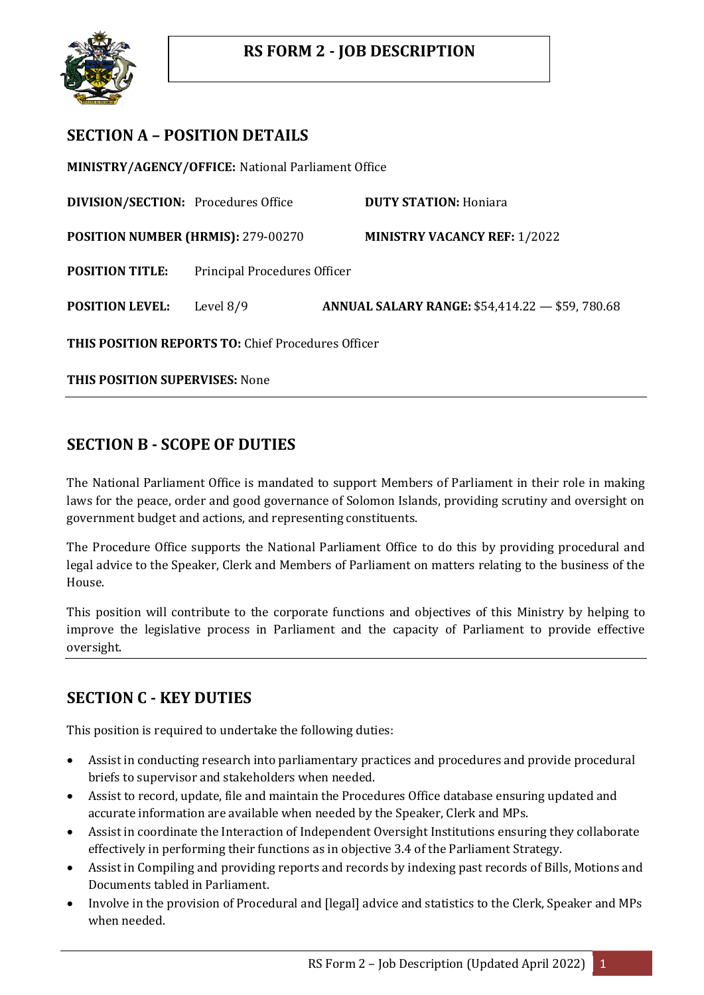

# **SECTION A – POSITION DETAILS**

**MINISTRY/AGENCY/OFFICE:** National Parliament Office

**DIVISION/SECTION:** Procedures Office **DUTY STATION:** Honiara **POSITION NUMBER (HRMIS):** 279-00270 **MINISTRY VACANCY REF:** 1/2022 **POSITION TITLE:** Principal Procedures Officer **POSITION LEVEL:** Level 8/9 **ANNUAL SALARY RANGE:** \$54,414.22 — \$59, 780.68 **THIS POSITION REPORTS TO:** Chief Procedures Officer

**THIS POSITION SUPERVISES:** None

## **SECTION B - SCOPE OF DUTIES**

The National Parliament Office is mandated to support Members of Parliament in their role in making laws for the peace, order and good governance of Solomon Islands, providing scrutiny and oversight on government budget and actions, and representing constituents.

The Procedure Office supports the National Parliament Office to do this by providing procedural and legal advice to the Speaker, Clerk and Members of Parliament on matters relating to the business of the House.

This position will contribute to the corporate functions and objectives of this Ministry by helping to improve the legislative process in Parliament and the capacity of Parliament to provide effective oversight.

## **SECTION C - KEY DUTIES**

This position is required to undertake the following duties:

- Assist in conducting research into parliamentary practices and procedures and provide procedural briefs to supervisor and stakeholders when needed.
- Assist to record, update, file and maintain the Procedures Office database ensuring updated and accurate information are available when needed by the Speaker, Clerk and MPs.
- Assist in coordinate the Interaction of Independent Oversight Institutions ensuring they collaborate effectively in performing their functions as in objective 3.4 of the Parliament Strategy.
- Assist in Compiling and providing reports and records by indexing past records of Bills, Motions and Documents tabled in Parliament.
- Involve in the provision of Procedural and [legal] advice and statistics to the Clerk, Speaker and MPs when needed.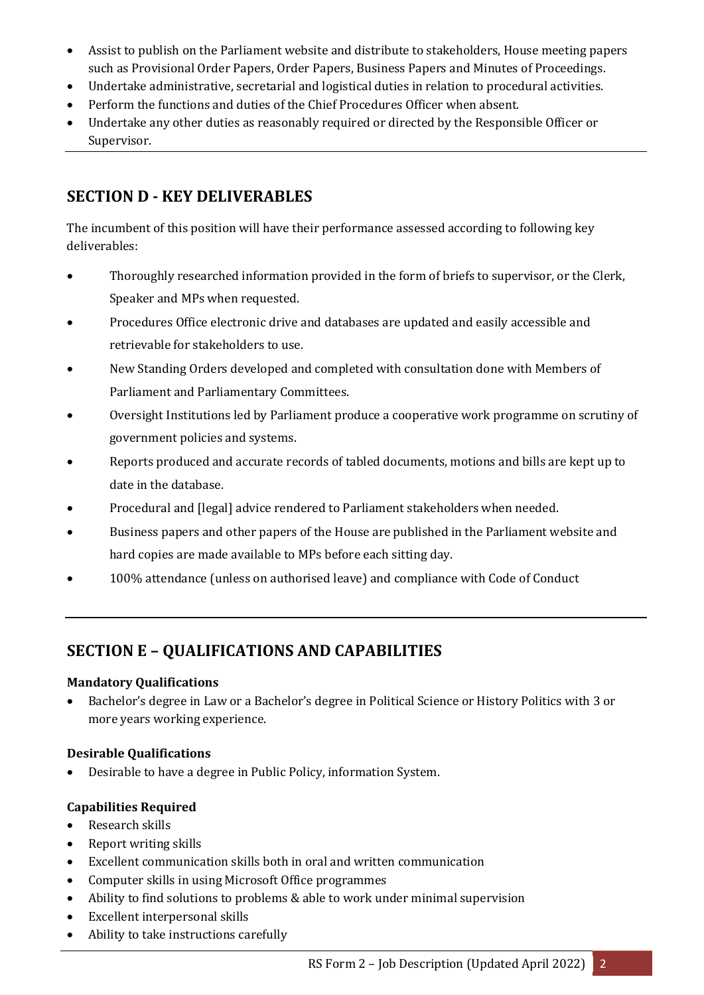- Assist to publish on the Parliament website and distribute to stakeholders, House meeting papers such as Provisional Order Papers, Order Papers, Business Papers and Minutes of Proceedings.
- Undertake administrative, secretarial and logistical duties in relation to procedural activities.
- Perform the functions and duties of the Chief Procedures Officer when absent.
- Undertake any other duties as reasonably required or directed by the Responsible Officer or Supervisor.

# **SECTION D - KEY DELIVERABLES**

The incumbent of this position will have their performance assessed according to following key deliverables:

- Thoroughly researched information provided in the form of briefs to supervisor, or the Clerk, Speaker and MPs when requested.
- Procedures Office electronic drive and databases are updated and easily accessible and retrievable for stakeholders to use.
- New Standing Orders developed and completed with consultation done with Members of Parliament and Parliamentary Committees.
- Oversight Institutions led by Parliament produce a cooperative work programme on scrutiny of government policies and systems.
- Reports produced and accurate records of tabled documents, motions and bills are kept up to date in the database.
- Procedural and [legal] advice rendered to Parliament stakeholders when needed.
- Business papers and other papers of the House are published in the Parliament website and hard copies are made available to MPs before each sitting day.
- 100% attendance (unless on authorised leave) and compliance with Code of Conduct

# **SECTION E – QUALIFICATIONS AND CAPABILITIES**

#### **Mandatory Qualifications**

 Bachelor's degree in Law or a Bachelor's degree in Political Science or History Politics with 3 or more years working experience.

#### **Desirable Qualifications**

Desirable to have a degree in Public Policy, information System.

#### **Capabilities Required**

- Research skills
- Report writing skills
- Excellent communication skills both in oral and written communication
- Computer skills in using Microsoft Office programmes
- Ability to find solutions to problems & able to work under minimal supervision
- Excellent interpersonal skills
- Ability to take instructions carefully